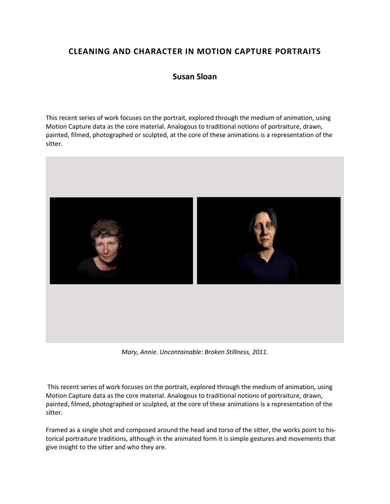## **CLEANING AND CHARACTER IN MOTION CAPTURE PORTRAITS**

## **Susan Sloan**

This recent series of work focuses on the portrait, explored through the medium of animation, using Motion Capture data as the core material. Analogous to traditional notions of portraiture, drawn, painted, filmed, photographed or sculpted, at the core of these animations is a representation of the sitter.



*Mary, Annie. Uncontainable: Broken Stillness, 2011.*

This recent series of work focuses on the portrait, explored through the medium of animation, using Motion Capture data as the core material. Analogous to traditional notions of portraiture, drawn, painted, filmed, photographed or sculpted, at the core of these animations is a representation of the sitter.

Framed as a single shot and composed around the head and torso of the sitter, the works point to historical portraiture traditions, although in the animated form it is simple gestures and movements that give insight to the sitter and who they are.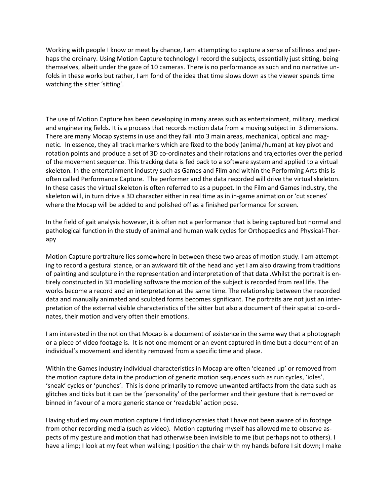Working with people I know or meet by chance, I am attempting to capture a sense of stillness and perhaps the ordinary. Using Motion Capture technology I record the subjects, essentially just sitting, being themselves, albeit under the gaze of 10 cameras. There is no performance as such and no narrative unfolds in these works but rather, I am fond of the idea that time slows down as the viewer spends time watching the sitter 'sitting'.

The use of Motion Capture has been developing in many areas such as entertainment, military, medical and engineering fields. It is a process that records motion data from a moving subject in 3 dimensions. There are many Mocap systems in use and they fall into 3 main areas, mechanical, optical and magnetic. In essence, they all track markers which are fixed to the body (animal/human) at key pivot and rotation points and produce a set of 3D co-ordinates and their rotations and trajectories over the period of the movement sequence. This tracking data is fed back to a software system and applied to a virtual skeleton. In the entertainment industry such as Games and Film and within the Performing Arts this is often called Performance Capture. The performer and the data recorded will drive the virtual skeleton. In these cases the virtual skeleton is often referred to as a puppet. In the Film and Games industry, the skeleton will, in turn drive a 3D character either in real time as in in-game animation or 'cut scenes' where the Mocap will be added to and polished off as a finished performance for screen.

In the field of gait analysis however, it is often not a performance that is being captured but normal and pathological function in the study of animal and human walk cycles for Orthopaedics and Physical-Therapy

Motion Capture portraiture lies somewhere in between these two areas of motion study. I am attempting to record a gestural stance, or an awkward tilt of the head and yet I am also drawing from traditions of painting and sculpture in the representation and interpretation of that data .Whilst the portrait is entirely constructed in 3D modelling software the motion of the subject is recorded from real life. The works become a record and an interpretation at the same time. The relationship between the recorded data and manually animated and sculpted forms becomes significant. The portraits are not just an interpretation of the external visible characteristics of the sitter but also a document of their spatial co-ordinates, their motion and very often their emotions.

I am interested in the notion that Mocap is a document of existence in the same way that a photograph or a piece of video footage is. It is not one moment or an event captured in time but a document of an individual's movement and identity removed from a specific time and place.

Within the Games industry individual characteristics in Mocap are often 'cleaned up' or removed from the motion capture data in the production of generic motion sequences such as run cycles, 'idles', 'sneak' cycles or 'punches'. This is done primarily to remove unwanted artifacts from the data such as glitches and ticks but it can be the 'personality' of the performer and their gesture that is removed or binned in favour of a more generic stance or 'readable' action pose.

Having studied my own motion capture I find idiosyncrasies that I have not been aware of in footage from other recording media (such as video). Motion capturing myself has allowed me to observe aspects of my gesture and motion that had otherwise been invisible to me (but perhaps not to others). I have a limp; I look at my feet when walking; I position the chair with my hands before I sit down; I make